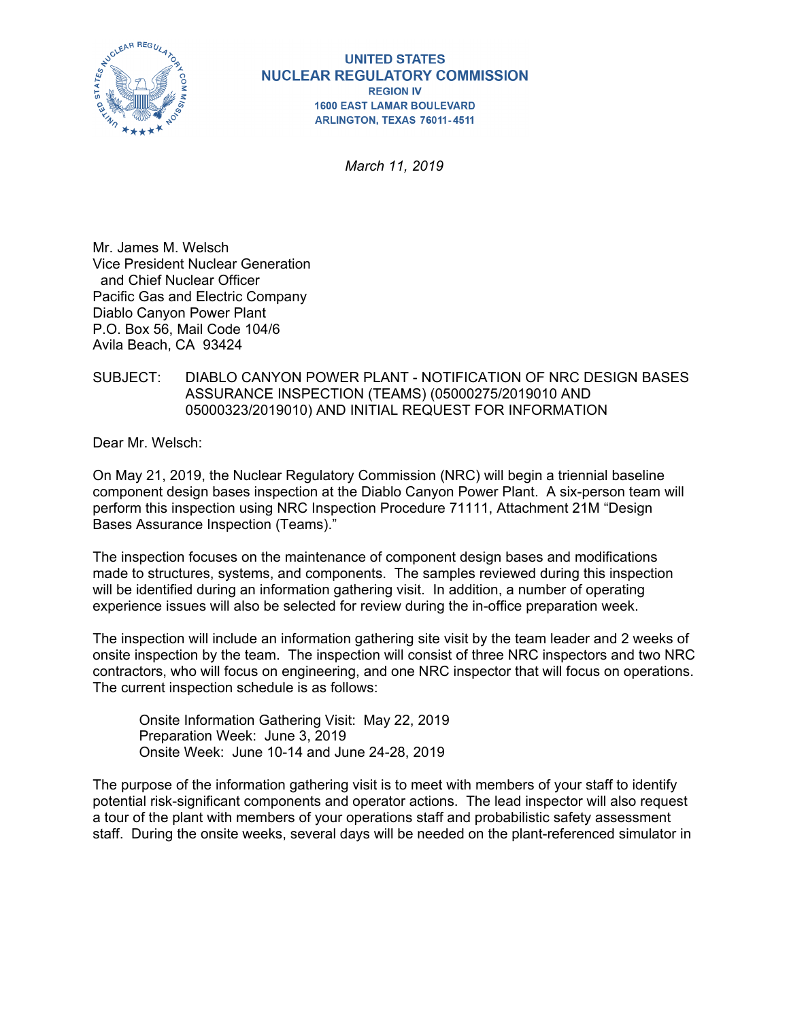

*March 11, 2019* 

Mr. James M. Welsch Vice President Nuclear Generation and Chief Nuclear Officer Pacific Gas and Electric Company Diablo Canyon Power Plant P.O. Box 56, Mail Code 104/6 Avila Beach, CA 93424

### SUBJECT: DIABLO CANYON POWER PLANT - NOTIFICATION OF NRC DESIGN BASES ASSURANCE INSPECTION (TEAMS) (05000275/2019010 AND 05000323/2019010) AND INITIAL REQUEST FOR INFORMATION

Dear Mr. Welsch:

On May 21, 2019, the Nuclear Regulatory Commission (NRC) will begin a triennial baseline component design bases inspection at the Diablo Canyon Power Plant. A six-person team will perform this inspection using NRC Inspection Procedure 71111, Attachment 21M "Design Bases Assurance Inspection (Teams)."

The inspection focuses on the maintenance of component design bases and modifications made to structures, systems, and components. The samples reviewed during this inspection will be identified during an information gathering visit. In addition, a number of operating experience issues will also be selected for review during the in-office preparation week.

The inspection will include an information gathering site visit by the team leader and 2 weeks of onsite inspection by the team. The inspection will consist of three NRC inspectors and two NRC contractors, who will focus on engineering, and one NRC inspector that will focus on operations. The current inspection schedule is as follows:

Onsite Information Gathering Visit: May 22, 2019 Preparation Week: June 3, 2019 Onsite Week: June 10-14 and June 24-28, 2019

The purpose of the information gathering visit is to meet with members of your staff to identify potential risk-significant components and operator actions. The lead inspector will also request a tour of the plant with members of your operations staff and probabilistic safety assessment staff. During the onsite weeks, several days will be needed on the plant-referenced simulator in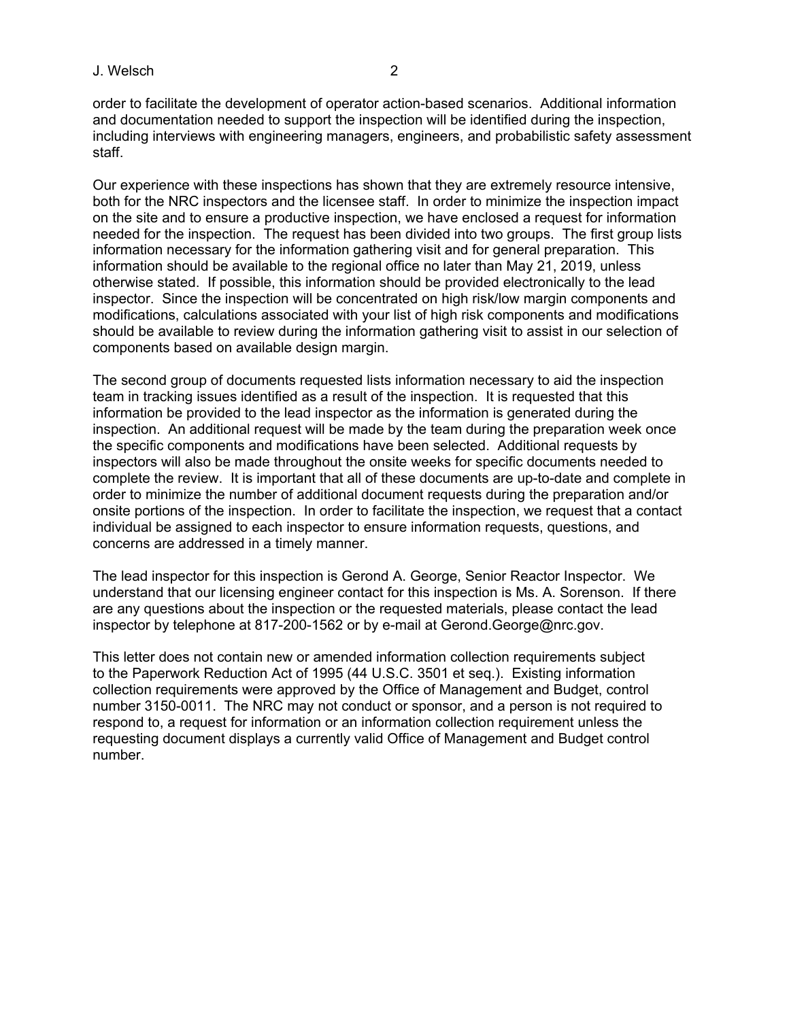#### J. Welsch 2

order to facilitate the development of operator action-based scenarios. Additional information and documentation needed to support the inspection will be identified during the inspection, including interviews with engineering managers, engineers, and probabilistic safety assessment staff.

Our experience with these inspections has shown that they are extremely resource intensive, both for the NRC inspectors and the licensee staff. In order to minimize the inspection impact on the site and to ensure a productive inspection, we have enclosed a request for information needed for the inspection. The request has been divided into two groups. The first group lists information necessary for the information gathering visit and for general preparation. This information should be available to the regional office no later than May 21, 2019, unless otherwise stated. If possible, this information should be provided electronically to the lead inspector. Since the inspection will be concentrated on high risk/low margin components and modifications, calculations associated with your list of high risk components and modifications should be available to review during the information gathering visit to assist in our selection of components based on available design margin.

The second group of documents requested lists information necessary to aid the inspection team in tracking issues identified as a result of the inspection. It is requested that this information be provided to the lead inspector as the information is generated during the inspection. An additional request will be made by the team during the preparation week once the specific components and modifications have been selected. Additional requests by inspectors will also be made throughout the onsite weeks for specific documents needed to complete the review. It is important that all of these documents are up-to-date and complete in order to minimize the number of additional document requests during the preparation and/or onsite portions of the inspection. In order to facilitate the inspection, we request that a contact individual be assigned to each inspector to ensure information requests, questions, and concerns are addressed in a timely manner.

The lead inspector for this inspection is Gerond A. George, Senior Reactor Inspector. We understand that our licensing engineer contact for this inspection is Ms. A. Sorenson. If there are any questions about the inspection or the requested materials, please contact the lead inspector by telephone at 817-200-1562 or by e-mail at Gerond.George@nrc.gov.

This letter does not contain new or amended information collection requirements subject to the Paperwork Reduction Act of 1995 (44 U.S.C. 3501 et seq.). Existing information collection requirements were approved by the Office of Management and Budget, control number 3150-0011. The NRC may not conduct or sponsor, and a person is not required to respond to, a request for information or an information collection requirement unless the requesting document displays a currently valid Office of Management and Budget control number.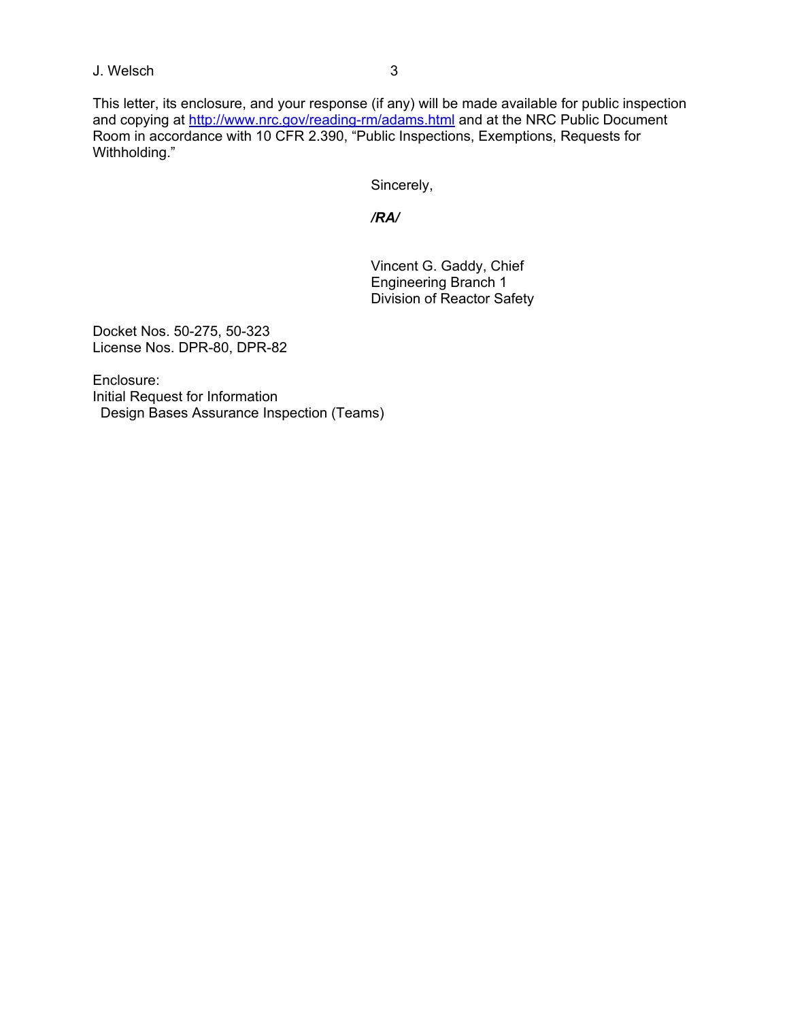## J. Welsch 3

This letter, its enclosure, and your response (if any) will be made available for public inspection and copying at http://www.nrc.gov/reading-rm/adams.html and at the NRC Public Document Room in accordance with 10 CFR 2.390, "Public Inspections, Exemptions, Requests for Withholding."

Sincerely,

*/RA/* 

Vincent G. Gaddy, Chief Engineering Branch 1 Division of Reactor Safety

Docket Nos. 50-275, 50-323 License Nos. DPR-80, DPR-82

Enclosure: Initial Request for Information Design Bases Assurance Inspection (Teams)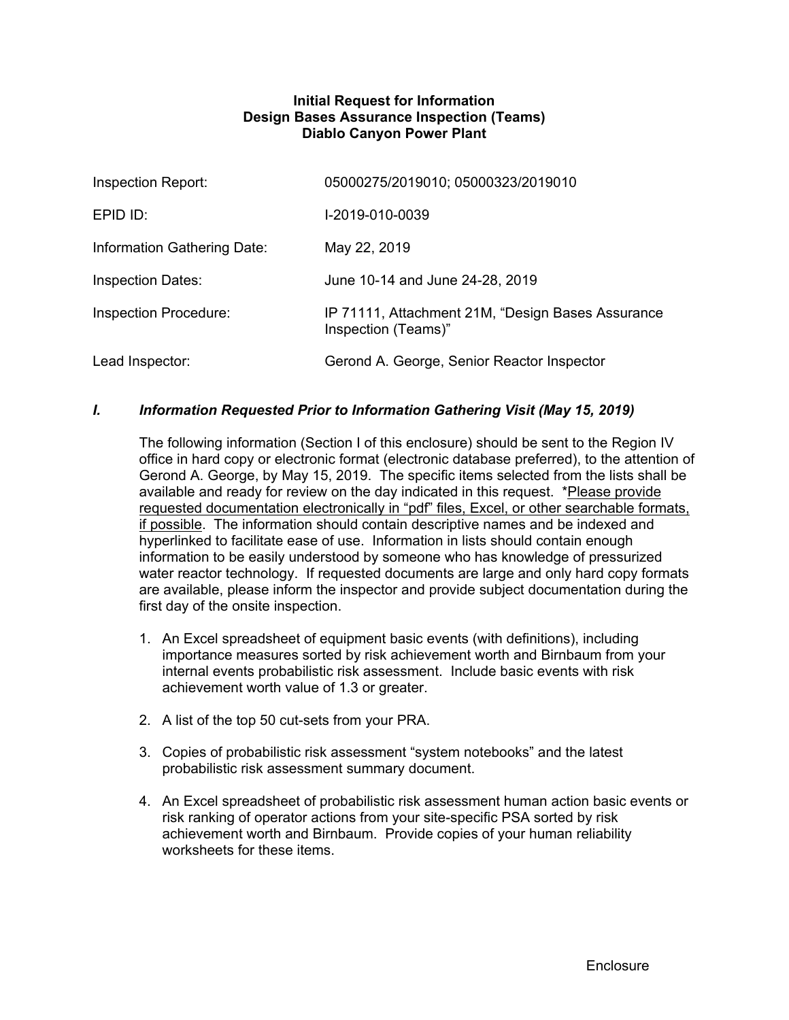### **Initial Request for Information Design Bases Assurance Inspection (Teams) Diablo Canyon Power Plant**

| Inspection Report:           | 05000275/2019010; 05000323/2019010                                       |
|------------------------------|--------------------------------------------------------------------------|
| EPID ID:                     | I-2019-010-0039                                                          |
| Information Gathering Date:  | May 22, 2019                                                             |
| <b>Inspection Dates:</b>     | June 10-14 and June 24-28, 2019                                          |
| <b>Inspection Procedure:</b> | IP 71111, Attachment 21M, "Design Bases Assurance<br>Inspection (Teams)" |
| Lead Inspector:              | Gerond A. George, Senior Reactor Inspector                               |

# *I. Information Requested Prior to Information Gathering Visit (May 15, 2019)*

The following information (Section I of this enclosure) should be sent to the Region IV office in hard copy or electronic format (electronic database preferred), to the attention of Gerond A. George, by May 15, 2019. The specific items selected from the lists shall be available and ready for review on the day indicated in this request. \*Please provide requested documentation electronically in "pdf" files, Excel, or other searchable formats, if possible. The information should contain descriptive names and be indexed and hyperlinked to facilitate ease of use. Information in lists should contain enough information to be easily understood by someone who has knowledge of pressurized water reactor technology. If requested documents are large and only hard copy formats are available, please inform the inspector and provide subject documentation during the first day of the onsite inspection.

- 1. An Excel spreadsheet of equipment basic events (with definitions), including importance measures sorted by risk achievement worth and Birnbaum from your internal events probabilistic risk assessment. Include basic events with risk achievement worth value of 1.3 or greater.
- 2. A list of the top 50 cut-sets from your PRA.
- 3. Copies of probabilistic risk assessment "system notebooks" and the latest probabilistic risk assessment summary document.
- 4. An Excel spreadsheet of probabilistic risk assessment human action basic events or risk ranking of operator actions from your site-specific PSA sorted by risk achievement worth and Birnbaum. Provide copies of your human reliability worksheets for these items.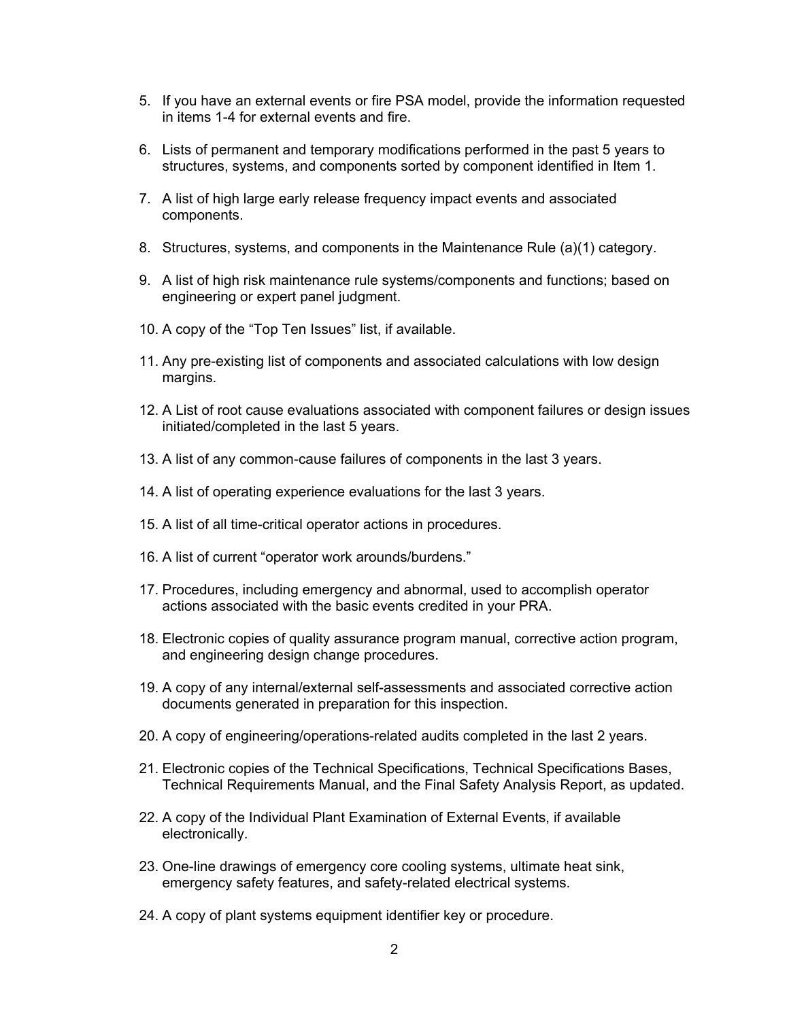- 5. If you have an external events or fire PSA model, provide the information requested in items 1-4 for external events and fire.
- 6. Lists of permanent and temporary modifications performed in the past 5 years to structures, systems, and components sorted by component identified in Item 1.
- 7. A list of high large early release frequency impact events and associated components.
- 8. Structures, systems, and components in the Maintenance Rule (a)(1) category.
- 9. A list of high risk maintenance rule systems/components and functions; based on engineering or expert panel judgment.
- 10. A copy of the "Top Ten Issues" list, if available.
- 11. Any pre-existing list of components and associated calculations with low design margins.
- 12. A List of root cause evaluations associated with component failures or design issues initiated/completed in the last 5 years.
- 13. A list of any common-cause failures of components in the last 3 years.
- 14. A list of operating experience evaluations for the last 3 years.
- 15. A list of all time-critical operator actions in procedures.
- 16. A list of current "operator work arounds/burdens."
- 17. Procedures, including emergency and abnormal, used to accomplish operator actions associated with the basic events credited in your PRA.
- 18. Electronic copies of quality assurance program manual, corrective action program, and engineering design change procedures.
- 19. A copy of any internal/external self-assessments and associated corrective action documents generated in preparation for this inspection.
- 20. A copy of engineering/operations-related audits completed in the last 2 years.
- 21. Electronic copies of the Technical Specifications, Technical Specifications Bases, Technical Requirements Manual, and the Final Safety Analysis Report, as updated.
- 22. A copy of the Individual Plant Examination of External Events, if available electronically.
- 23. One-line drawings of emergency core cooling systems, ultimate heat sink, emergency safety features, and safety-related electrical systems.
- 24. A copy of plant systems equipment identifier key or procedure.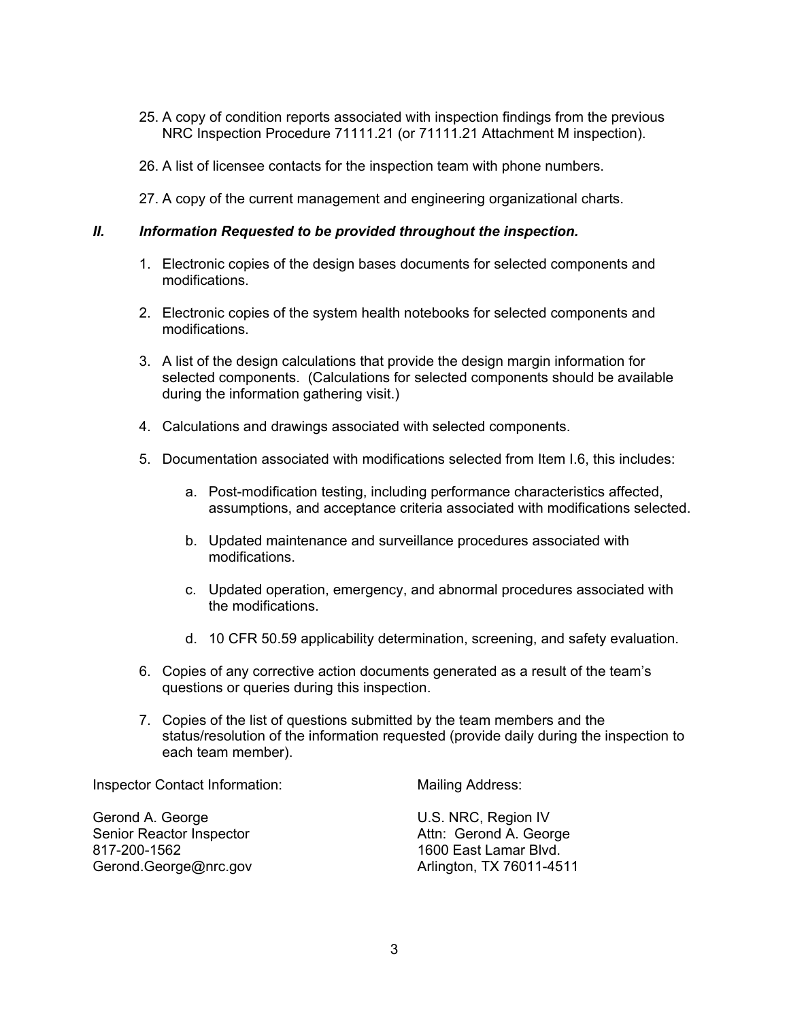- 25. A copy of condition reports associated with inspection findings from the previous NRC Inspection Procedure 71111.21 (or 71111.21 Attachment M inspection).
- 26. A list of licensee contacts for the inspection team with phone numbers.
- 27. A copy of the current management and engineering organizational charts.

### *II. Information Requested to be provided throughout the inspection.*

- 1. Electronic copies of the design bases documents for selected components and modifications.
- 2. Electronic copies of the system health notebooks for selected components and modifications.
- 3. A list of the design calculations that provide the design margin information for selected components. (Calculations for selected components should be available during the information gathering visit.)
- 4. Calculations and drawings associated with selected components.
- 5. Documentation associated with modifications selected from Item I.6, this includes:
	- a. Post-modification testing, including performance characteristics affected, assumptions, and acceptance criteria associated with modifications selected.
	- b. Updated maintenance and surveillance procedures associated with modifications.
	- c. Updated operation, emergency, and abnormal procedures associated with the modifications.
	- d. 10 CFR 50.59 applicability determination, screening, and safety evaluation.
- 6. Copies of any corrective action documents generated as a result of the team's questions or queries during this inspection.
- 7. Copies of the list of questions submitted by the team members and the status/resolution of the information requested (provide daily during the inspection to each team member).

Inspector Contact Information:

Gerond A. George Senior Reactor Inspector 817-200-1562 Gerond.George@nrc.gov Mailing Address:

U.S. NRC, Region IV Attn: Gerond A. George 1600 East Lamar Blvd. Arlington, TX 76011-4511